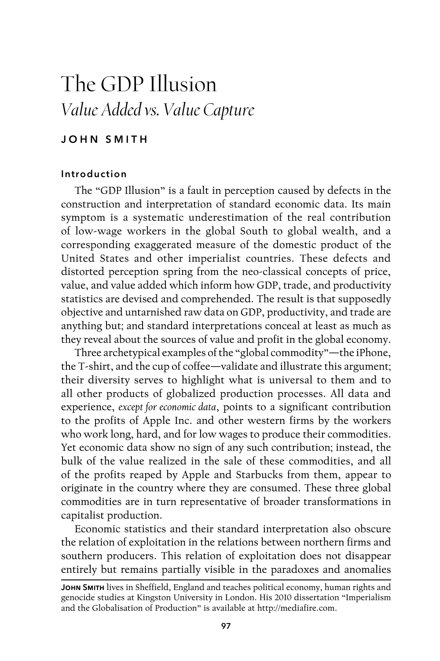# The GDP Illusion *Value Added vs. Value Capture*

# John Smith

## Introduction

The "GDP Illusion" is a fault in perception caused by defects in the construction and interpretation of standard economic data. Its main symptom is a systematic underestimation of the real contribution of low-wage workers in the global South to global wealth, and a corresponding exaggerated measure of the domestic product of the United States and other imperialist countries. These defects and distorted perception spring from the neo-classical concepts of price, value, and value added which inform how GDP, trade, and productivity statistics are devised and comprehended. The result is that supposedly objective and untarnished raw data on GDP, productivity, and trade are anything but; and standard interpretations conceal at least as much as they reveal about the sources of value and profit in the global economy.

Three archetypical examples of the "global commodity"—the iPhone, the T-shirt, and the cup of coffee—validate and illustrate this argument; their diversity serves to highlight what is universal to them and to all other products of globalized production processes. All data and experience, *except for economic data*, points to a significant contribution to the profits of Apple Inc. and other western firms by the workers who work long, hard, and for low wages to produce their commodities. Yet economic data show no sign of any such contribution; instead, the bulk of the value realized in the sale of these commodities, and all of the profits reaped by Apple and Starbucks from them, appear to originate in the country where they are consumed. These three global commodities are in turn representative of broader transformations in capitalist production.

Economic statistics and their standard interpretation also obscure the relation of exploitation in the relations between northern firms and southern producers. This relation of exploitation does not disappear entirely but remains partially visible in the paradoxes and anomalies

JOHN SMITH lives in Sheffield, England and teaches political economy, human rights and genocide studies at Kingston University in London. His 2010 dissertation "Imperialism and the Globalisation of Production" is available at http://mediafire.com.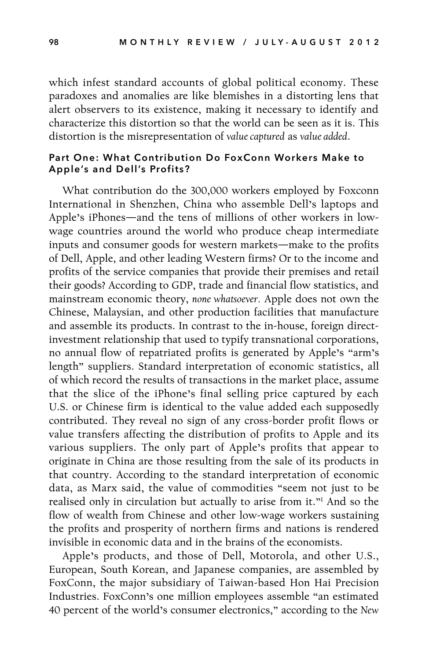which infest standard accounts of global political economy. These paradoxes and anomalies are like blemishes in a distorting lens that alert observers to its existence, making it necessary to identify and characterize this distortion so that the world can be seen as it is. This distortion is the misrepresentation of *value captured* as *value added*.

## Part One: What Contribution Do FoxConn Workers Make to Apple's and Dell's Profits?

What contribution do the 300,000 workers employed by Foxconn International in Shenzhen, China who assemble Dell's laptops and Apple's iPhones—and the tens of millions of other workers in lowwage countries around the world who produce cheap intermediate inputs and consumer goods for western markets—make to the profits of Dell, Apple, and other leading Western firms? Or to the income and profits of the service companies that provide their premises and retail their goods? According to GDP, trade and financial flow statistics, and mainstream economic theory, *none whatsoever.* Apple does not own the Chinese, Malaysian, and other production facilities that manufacture and assemble its products. In contrast to the in-house, foreign directinvestment relationship that used to typify transnational corporations, no annual flow of repatriated profits is generated by Apple's "arm's length" suppliers. Standard interpretation of economic statistics, all of which record the results of transactions in the market place, assume that the slice of the iPhone's final selling price captured by each U.S. or Chinese firm is identical to the value added each supposedly contributed. They reveal no sign of any cross-border profit flows or value transfers affecting the distribution of profits to Apple and its various suppliers. The only part of Apple's profits that appear to originate in China are those resulting from the sale of its products in that country. According to the standard interpretation of economic data, as Marx said, the value of commodities "seem not just to be realised only in circulation but actually to arise from it."1 And so the flow of wealth from Chinese and other low-wage workers sustaining the profits and prosperity of northern firms and nations is rendered invisible in economic data and in the brains of the economists.

Apple's products, and those of Dell, Motorola, and other U.S., European, South Korean, and Japanese companies, are assembled by FoxConn, the major subsidiary of Taiwan-based Hon Hai Precision Industries. FoxConn's one million employees assemble "an estimated 40 percent of the world's consumer electronics," according to the *New*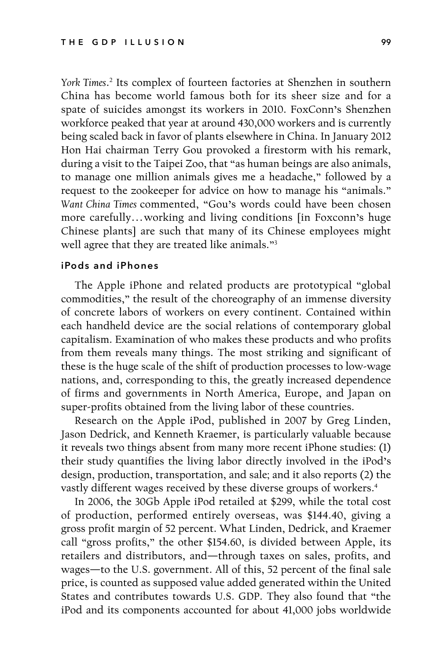*York Times*. 2 Its complex of fourteen factories at Shenzhen in southern China has become world famous both for its sheer size and for a spate of suicides amongst its workers in 2010. FoxConn's Shenzhen workforce peaked that year at around 430,000 workers and is currently being scaled back in favor of plants elsewhere in China. In January 2012 Hon Hai chairman Terry Gou provoked a firestorm with his remark, during a visit to the Taipei Zoo, that "as human beings are also animals, to manage one million animals gives me a headache," followed by a request to the zookeeper for advice on how to manage his "animals." *Want China Times* commented, "Gou's words could have been chosen more carefully…working and living conditions [in Foxconn's huge Chinese plants] are such that many of its Chinese employees might well agree that they are treated like animals."3

#### iPods and iPhones

The Apple iPhone and related products are prototypical "global commodities," the result of the choreography of an immense diversity of concrete labors of workers on every continent. Contained within each handheld device are the social relations of contemporary global capitalism. Examination of who makes these products and who profits from them reveals many things. The most striking and significant of these is the huge scale of the shift of production processes to low-wage nations, and, corresponding to this, the greatly increased dependence of firms and governments in North America, Europe, and Japan on super-profits obtained from the living labor of these countries.

Research on the Apple iPod, published in 2007 by Greg Linden, Jason Dedrick, and Kenneth Kraemer, is particularly valuable because it reveals two things absent from many more recent iPhone studies: (1) their study quantifies the living labor directly involved in the iPod's design, production, transportation, and sale; and it also reports (2) the vastly different wages received by these diverse groups of workers.<sup>4</sup>

In 2006, the 30Gb Apple iPod retailed at \$299, while the total cost of production, performed entirely overseas, was \$144.40, giving a gross profit margin of 52 percent. What Linden, Dedrick, and Kraemer call "gross profits," the other \$154.60, is divided between Apple, its retailers and distributors, and—through taxes on sales, profits, and wages—to the U.S. government. All of this, 52 percent of the final sale price, is counted as supposed value added generated within the United States and contributes towards U.S. GDP. They also found that "the iPod and its components accounted for about 41,000 jobs worldwide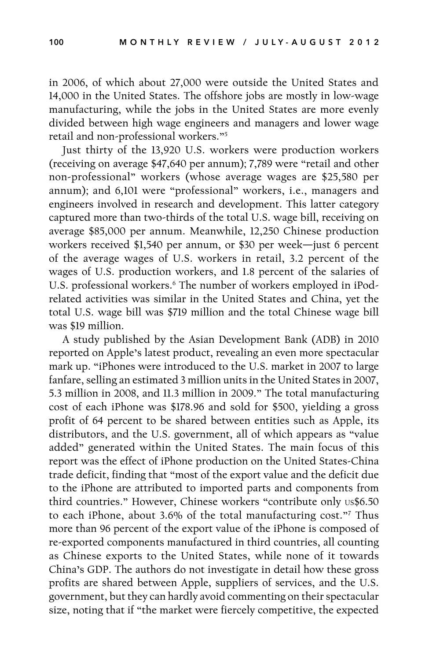in 2006, of which about 27,000 were outside the United States and 14,000 in the United States. The offshore jobs are mostly in low-wage manufacturing, while the jobs in the United States are more evenly divided between high wage engineers and managers and lower wage retail and non-professional workers."5

Just thirty of the 13,920 U.S. workers were production workers (receiving on average \$47,640 per annum); 7,789 were "retail and other non-professional" workers (whose average wages are \$25,580 per annum); and 6,101 were "professional" workers, i.e., managers and engineers involved in research and development. This latter category captured more than two-thirds of the total U.S. wage bill, receiving on average \$85,000 per annum. Meanwhile, 12,250 Chinese production workers received \$1,540 per annum, or \$30 per week—just 6 percent of the average wages of U.S. workers in retail, 3.2 percent of the wages of U.S. production workers, and 1.8 percent of the salaries of U.S. professional workers.<sup>6</sup> The number of workers employed in iPodrelated activities was similar in the United States and China, yet the total U.S. wage bill was \$719 million and the total Chinese wage bill was \$19 million.

A study published by the Asian Development Bank (ADB) in 2010 reported on Apple's latest product, revealing an even more spectacular mark up. "iPhones were introduced to the U.S. market in 2007 to large fanfare, selling an estimated 3 million units in the United States in 2007, 5.3 million in 2008, and 11.3 million in 2009." The total manufacturing cost of each iPhone was \$178.96 and sold for \$500, yielding a gross profit of 64 percent to be shared between entities such as Apple, its distributors, and the U.S. government, all of which appears as "value added" generated within the United States. The main focus of this report was the effect of iPhone production on the United States-China trade deficit, finding that "most of the export value and the deficit due to the iPhone are attributed to imported parts and components from third countries." However, Chinese workers "contribute only us\$6.50 to each iPhone, about 3.6% of the total manufacturing cost."7 Thus more than 96 percent of the export value of the iPhone is composed of re-exported components manufactured in third countries, all counting as Chinese exports to the United States, while none of it towards China's GDP. The authors do not investigate in detail how these gross profits are shared between Apple, suppliers of services, and the U.S. government, but they can hardly avoid commenting on their spectacular size, noting that if "the market were fiercely competitive, the expected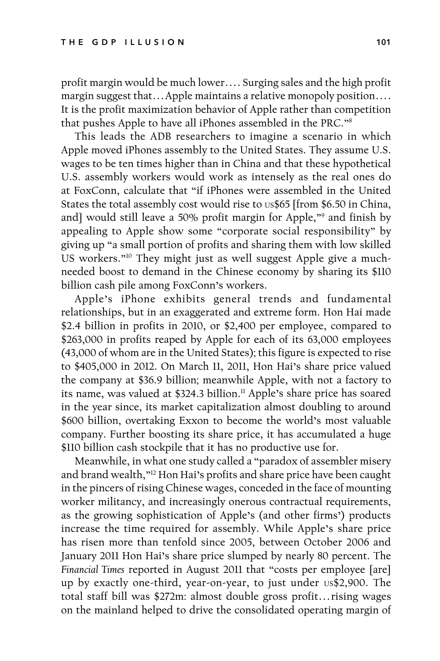profit margin would be much lower…. Surging sales and the high profit margin suggest that…Apple maintains a relative monopoly position…. It is the profit maximization behavior of Apple rather than competition that pushes Apple to have all iPhones assembled in the PRC."8

This leads the ADB researchers to imagine a scenario in which Apple moved iPhones assembly to the United States. They assume U.S. wages to be ten times higher than in China and that these hypothetical U.S. assembly workers would work as intensely as the real ones do at FoxConn, calculate that "if iPhones were assembled in the United States the total assembly cost would rise to us\$65 [from \$6.50 in China, and] would still leave a 50% profit margin for Apple,"9 and finish by appealing to Apple show some "corporate social responsibility" by giving up "a small portion of profits and sharing them with low skilled US workers."<sup>10</sup> They might just as well suggest Apple give a muchneeded boost to demand in the Chinese economy by sharing its \$110 billion cash pile among FoxConn's workers.

Apple's iPhone exhibits general trends and fundamental relationships, but in an exaggerated and extreme form. Hon Hai made \$2.4 billion in profits in 2010, or \$2,400 per employee, compared to \$263,000 in profits reaped by Apple for each of its 63,000 employees (43,000 of whom are in the United States); this figure is expected to rise to \$405,000 in 2012. On March 11, 2011, Hon Hai's share price valued the company at \$36.9 billion; meanwhile Apple, with not a factory to its name, was valued at \$324.3 billion.<sup>11</sup> Apple's share price has soared in the year since, its market capitalization almost doubling to around \$600 billion, overtaking Exxon to become the world's most valuable company. Further boosting its share price, it has accumulated a huge \$110 billion cash stockpile that it has no productive use for.

Meanwhile, in what one study called a "paradox of assembler misery and brand wealth,"<sup>12</sup> Hon Hai's profits and share price have been caught in the pincers of rising Chinese wages, conceded in the face of mounting worker militancy, and increasingly onerous contractual requirements, as the growing sophistication of Apple's (and other firms') products increase the time required for assembly. While Apple's share price has risen more than tenfold since 2005, between October 2006 and January 2011 Hon Hai's share price slumped by nearly 80 percent. The *Financial Times* reported in August 2011 that "costs per employee [are] up by exactly one-third, year-on-year, to just under us\$2,900. The total staff bill was \$272m: almost double gross profit…rising wages on the mainland helped to drive the consolidated operating margin of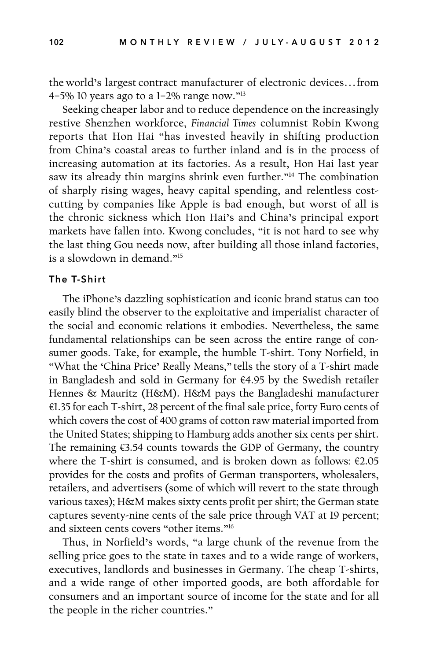the world's largest contract manufacturer of electronic devices…from 4–5% 10 years ago to a  $1-2\%$  range now."<sup>13</sup>

Seeking cheaper labor and to reduce dependence on the increasingly restive Shenzhen workforce, *Financial Times* columnist Robin Kwong reports that Hon Hai "has invested heavily in shifting production from China's coastal areas to further inland and is in the process of increasing automation at its factories. As a result, Hon Hai last year saw its already thin margins shrink even further."<sup>14</sup> The combination of sharply rising wages, heavy capital spending, and relentless costcutting by companies like Apple is bad enough, but worst of all is the chronic sickness which Hon Hai's and China's principal export markets have fallen into. Kwong concludes, "it is not hard to see why the last thing Gou needs now, after building all those inland factories, is a slowdown in demand."15

# The T-Shirt

The iPhone's dazzling sophistication and iconic brand status can too easily blind the observer to the exploitative and imperialist character of the social and economic relations it embodies. Nevertheless, the same fundamental relationships can be seen across the entire range of consumer goods. Take, for example, the humble T-shirt. Tony Norfield, in "What the 'China Price' Really Means," tells the story of a T-shirt made in Bangladesh and sold in Germany for €4.95 by the Swedish retailer Hennes & Mauritz (H&M). H&M pays the Bangladeshi manufacturer €1.35 for each T-shirt, 28 percent of the final sale price, forty Euro cents of which covers the cost of 400 grams of cotton raw material imported from the United States; shipping to Hamburg adds another six cents per shirt. The remaining €3.54 counts towards the GDP of Germany, the country where the T-shirt is consumed, and is broken down as follows: €2.05 provides for the costs and profits of German transporters, wholesalers, retailers, and advertisers (some of which will revert to the state through various taxes); H&M makes sixty cents profit per shirt; the German state captures seventy-nine cents of the sale price through VAT at 19 percent; and sixteen cents covers "other items."16

Thus, in Norfield's words, "a large chunk of the revenue from the selling price goes to the state in taxes and to a wide range of workers, executives, landlords and businesses in Germany. The cheap T-shirts, and a wide range of other imported goods, are both affordable for consumers and an important source of income for the state and for all the people in the richer countries."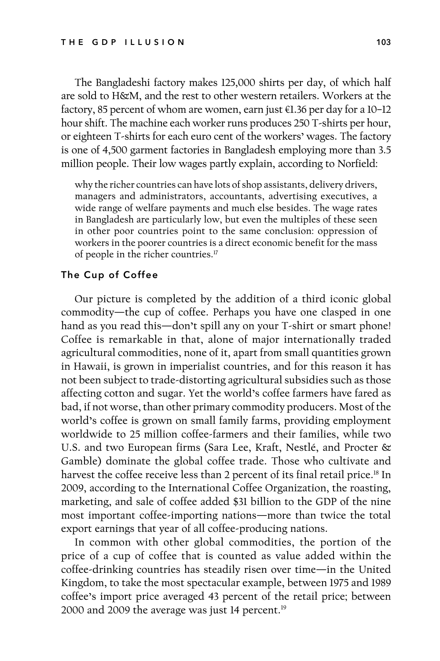The Bangladeshi factory makes 125,000 shirts per day, of which half are sold to H&M, and the rest to other western retailers. Workers at the factory, 85 percent of whom are women, earn just €1.36 per day for a 10–12 hour shift. The machine each worker runs produces 250 T-shirts per hour, or eighteen T-shirts for each euro cent of the workers' wages. The factory is one of 4,500 garment factories in Bangladesh employing more than 3.5 million people. Their low wages partly explain, according to Norfield:

why the richer countries can have lots of shop assistants, delivery drivers, managers and administrators, accountants, advertising executives, a wide range of welfare payments and much else besides. The wage rates in Bangladesh are particularly low, but even the multiples of these seen in other poor countries point to the same conclusion: oppression of workers in the poorer countries is a direct economic benefit for the mass of people in the richer countries.17

# The Cup of Coffee

Our picture is completed by the addition of a third iconic global commodity—the cup of coffee. Perhaps you have one clasped in one hand as you read this—don't spill any on your T-shirt or smart phone! Coffee is remarkable in that, alone of major internationally traded agricultural commodities, none of it, apart from small quantities grown in Hawaii, is grown in imperialist countries, and for this reason it has not been subject to trade-distorting agricultural subsidies such as those affecting cotton and sugar. Yet the world's coffee farmers have fared as bad, if not worse, than other primary commodity producers. Most of the world's coffee is grown on small family farms, providing employment worldwide to 25 million coffee-farmers and their families, while two U.S. and two European firms (Sara Lee, Kraft, Nestlé, and Procter & Gamble) dominate the global coffee trade. Those who cultivate and harvest the coffee receive less than 2 percent of its final retail price.<sup>18</sup> In 2009, according to the International Coffee Organization, the roasting, marketing, and sale of coffee added \$31 billion to the GDP of the nine most important coffee-importing nations—more than twice the total export earnings that year of all coffee-producing nations.

In common with other global commodities, the portion of the price of a cup of coffee that is counted as value added within the coffee-drinking countries has steadily risen over time—in the United Kingdom, to take the most spectacular example, between 1975 and 1989 coffee's import price averaged 43 percent of the retail price; between 2000 and 2009 the average was just 14 percent.<sup>19</sup>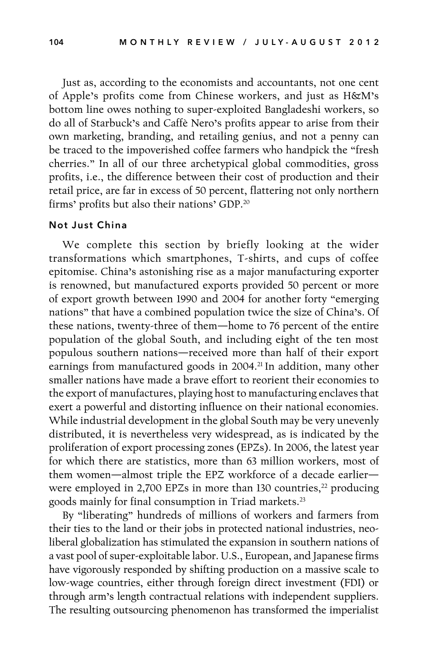Just as, according to the economists and accountants, not one cent of Apple's profits come from Chinese workers, and just as H&M's bottom line owes nothing to super-exploited Bangladeshi workers, so do all of Starbuck's and Caffè Nero's profits appear to arise from their own marketing, branding, and retailing genius, and not a penny can be traced to the impoverished coffee farmers who handpick the "fresh cherries." In all of our three archetypical global commodities, gross profits, i.e., the difference between their cost of production and their retail price, are far in excess of 50 percent, flattering not only northern firms' profits but also their nations' GDP.20

#### Not Just China

We complete this section by briefly looking at the wider transformations which smartphones, T-shirts, and cups of coffee epitomise. China's astonishing rise as a major manufacturing exporter is renowned, but manufactured exports provided 50 percent or more of export growth between 1990 and 2004 for another forty "emerging nations" that have a combined population twice the size of China's. Of these nations, twenty-three of them—home to 76 percent of the entire population of the global South, and including eight of the ten most populous southern nations—received more than half of their export earnings from manufactured goods in 2004.<sup>21</sup> In addition, many other smaller nations have made a brave effort to reorient their economies to the export of manufactures, playing host to manufacturing enclaves that exert a powerful and distorting influence on their national economies. While industrial development in the global South may be very unevenly distributed, it is nevertheless very widespread, as is indicated by the proliferation of export processing zones (EPZs). In 2006, the latest year for which there are statistics, more than 63 million workers, most of them women—almost triple the EPZ workforce of a decade earlier were employed in 2,700 EPZs in more than 130 countries, $22$  producing goods mainly for final consumption in Triad markets.<sup>23</sup>

By "liberating" hundreds of millions of workers and farmers from their ties to the land or their jobs in protected national industries, neoliberal globalization has stimulated the expansion in southern nations of a vast pool of super-exploitable labor. U.S., European, and Japanese firms have vigorously responded by shifting production on a massive scale to low-wage countries, either through foreign direct investment (FDI) or through arm's length contractual relations with independent suppliers. The resulting outsourcing phenomenon has transformed the imperialist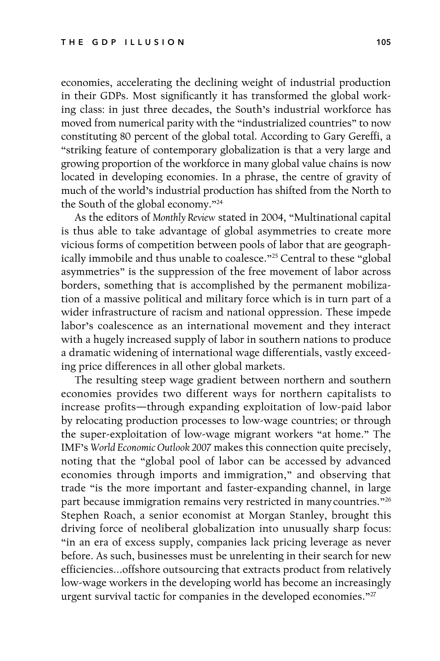economies, accelerating the declining weight of industrial production in their GDPs. Most significantly it has transformed the global working class: in just three decades, the South's industrial workforce has moved from numerical parity with the "industrialized countries" to now constituting 80 percent of the global total. According to Gary Gereffi, a "striking feature of contemporary globalization is that a very large and growing proportion of the workforce in many global value chains is now located in developing economies. In a phrase, the centre of gravity of much of the world's industrial production has shifted from the North to the South of the global economy."24

As the editors of *Monthly Review* stated in 2004, "Multinational capital is thus able to take advantage of global asymmetries to create more vicious forms of competition between pools of labor that are geographically immobile and thus unable to coalesce."25 Central to these "global asymmetries" is the suppression of the free movement of labor across borders, something that is accomplished by the permanent mobilization of a massive political and military force which is in turn part of a wider infrastructure of racism and national oppression. These impede labor's coalescence as an international movement and they interact with a hugely increased supply of labor in southern nations to produce a dramatic widening of international wage differentials, vastly exceeding price differences in all other global markets.

The resulting steep wage gradient between northern and southern economies provides two different ways for northern capitalists to increase profits—through expanding exploitation of low-paid labor by relocating production processes to low-wage countries; or through the super-exploitation of low-wage migrant workers "at home." The IMF's *World Economic Outlook 2007* makes this connection quite precisely, noting that the "global pool of labor can be accessed by advanced economies through imports and immigration," and observing that trade "is the more important and faster-expanding channel, in large part because immigration remains very restricted in many countries."<sup>26</sup> Stephen Roach, a senior economist at Morgan Stanley, brought this driving force of neoliberal globalization into unusually sharp focus: "in an era of excess supply, companies lack pricing leverage as never before. As such, businesses must be unrelenting in their search for new efficiencies...offshore outsourcing that extracts product from relatively low-wage workers in the developing world has become an increasingly urgent survival tactic for companies in the developed economies."<sup>27</sup>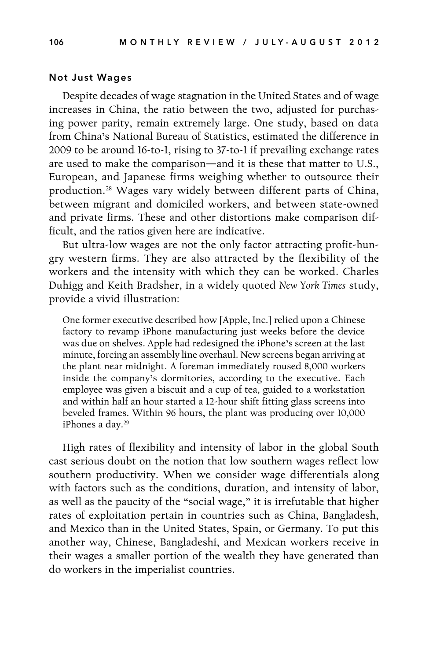### Not Just Wages

Despite decades of wage stagnation in the United States and of wage increases in China, the ratio between the two, adjusted for purchasing power parity, remain extremely large. One study, based on data from China's National Bureau of Statistics, estimated the difference in 2009 to be around 16-to-1, rising to 37-to-1 if prevailing exchange rates are used to make the comparison—and it is these that matter to U.S., European, and Japanese firms weighing whether to outsource their production.28 Wages vary widely between different parts of China, between migrant and domiciled workers, and between state-owned and private firms. These and other distortions make comparison difficult, and the ratios given here are indicative.

But ultra-low wages are not the only factor attracting profit-hungry western firms. They are also attracted by the flexibility of the workers and the intensity with which they can be worked. Charles Duhigg and Keith Bradsher, in a widely quoted *New York Times* study, provide a vivid illustration:

One former executive described how [Apple, Inc.] relied upon a Chinese factory to revamp iPhone manufacturing just weeks before the device was due on shelves. Apple had redesigned the iPhone's screen at the last minute, forcing an assembly line overhaul. New screens began arriving at the plant near midnight. A foreman immediately roused 8,000 workers inside the company's dormitories, according to the executive. Each employee was given a biscuit and a cup of tea, guided to a workstation and within half an hour started a 12-hour shift fitting glass screens into beveled frames. Within 96 hours, the plant was producing over 10,000 iPhones a day.<sup>29</sup>

High rates of flexibility and intensity of labor in the global South cast serious doubt on the notion that low southern wages reflect low southern productivity. When we consider wage differentials along with factors such as the conditions, duration, and intensity of labor, as well as the paucity of the "social wage," it is irrefutable that higher rates of exploitation pertain in countries such as China, Bangladesh, and Mexico than in the United States, Spain, or Germany. To put this another way, Chinese, Bangladeshi, and Mexican workers receive in their wages a smaller portion of the wealth they have generated than do workers in the imperialist countries.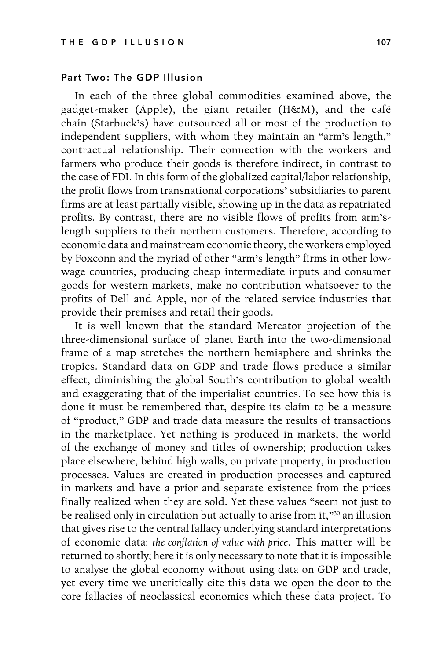## Part Two: The GDP Illusion

In each of the three global commodities examined above, the gadget-maker (Apple), the giant retailer (H&M), and the café chain (Starbuck's) have outsourced all or most of the production to independent suppliers, with whom they maintain an "arm's length," contractual relationship. Their connection with the workers and farmers who produce their goods is therefore indirect, in contrast to the case of FDI. In this form of the globalized capital/labor relationship, the profit flows from transnational corporations' subsidiaries to parent firms are at least partially visible, showing up in the data as repatriated profits. By contrast, there are no visible flows of profits from arm'slength suppliers to their northern customers. Therefore, according to economic data and mainstream economic theory, the workers employed by Foxconn and the myriad of other "arm's length" firms in other lowwage countries, producing cheap intermediate inputs and consumer goods for western markets, make no contribution whatsoever to the profits of Dell and Apple, nor of the related service industries that provide their premises and retail their goods.

It is well known that the standard Mercator projection of the three-dimensional surface of planet Earth into the two-dimensional frame of a map stretches the northern hemisphere and shrinks the tropics. Standard data on GDP and trade flows produce a similar effect, diminishing the global South's contribution to global wealth and exaggerating that of the imperialist countries. To see how this is done it must be remembered that, despite its claim to be a measure of "product," GDP and trade data measure the results of transactions in the marketplace. Yet nothing is produced in markets, the world of the exchange of money and titles of ownership; production takes place elsewhere, behind high walls, on private property, in production processes. Values are created in production processes and captured in markets and have a prior and separate existence from the prices finally realized when they are sold. Yet these values "seem not just to be realised only in circulation but actually to arise from it,"30 an illusion that gives rise to the central fallacy underlying standard interpretations of economic data: *the conflation of value with price*. This matter will be returned to shortly; here it is only necessary to note that it is impossible to analyse the global economy without using data on GDP and trade, yet every time we uncritically cite this data we open the door to the core fallacies of neoclassical economics which these data project. To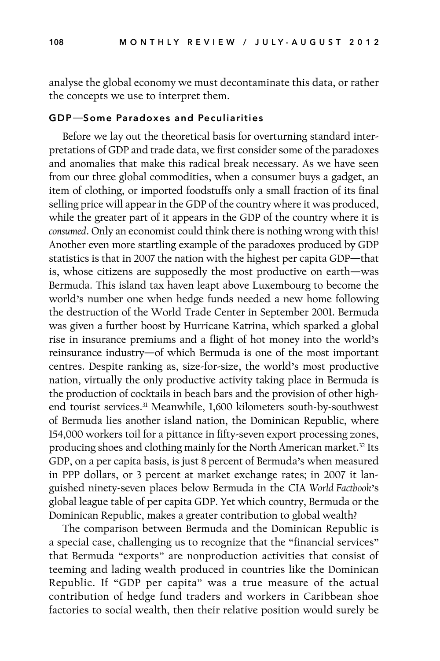analyse the global economy we must decontaminate this data, or rather the concepts we use to interpret them.

#### GDP—Some Paradoxes and Peculiarities

Before we lay out the theoretical basis for overturning standard interpretations of GDP and trade data, we first consider some of the paradoxes and anomalies that make this radical break necessary. As we have seen from our three global commodities, when a consumer buys a gadget, an item of clothing, or imported foodstuffs only a small fraction of its final selling price will appear in the GDP of the country where it was produced, while the greater part of it appears in the GDP of the country where it is *consumed*. Only an economist could think there is nothing wrong with this! Another even more startling example of the paradoxes produced by GDP statistics is that in 2007 the nation with the highest per capita GDP—that is, whose citizens are supposedly the most productive on earth—was Bermuda. This island tax haven leapt above Luxembourg to become the world's number one when hedge funds needed a new home following the destruction of the World Trade Center in September 2001. Bermuda was given a further boost by Hurricane Katrina, which sparked a global rise in insurance premiums and a flight of hot money into the world's reinsurance industry—of which Bermuda is one of the most important centres. Despite ranking as, size-for-size, the world's most productive nation, virtually the only productive activity taking place in Bermuda is the production of cocktails in beach bars and the provision of other highend tourist services.31 Meanwhile, 1,600 kilometers south-by-southwest of Bermuda lies another island nation, the Dominican Republic, where 154,000 workers toil for a pittance in fifty-seven export processing zones, producing shoes and clothing mainly for the North American market.32 Its GDP, on a per capita basis, is just 8 percent of Bermuda's when measured in PPP dollars, or 3 percent at market exchange rates; in 2007 it languished ninety-seven places below Bermuda in the CIA *World Factbook*'s global league table of per capita GDP. Yet which country, Bermuda or the Dominican Republic, makes a greater contribution to global wealth?

The comparison between Bermuda and the Dominican Republic is a special case, challenging us to recognize that the "financial services" that Bermuda "exports" are nonproduction activities that consist of teeming and lading wealth produced in countries like the Dominican Republic. If "GDP per capita" was a true measure of the actual contribution of hedge fund traders and workers in Caribbean shoe factories to social wealth, then their relative position would surely be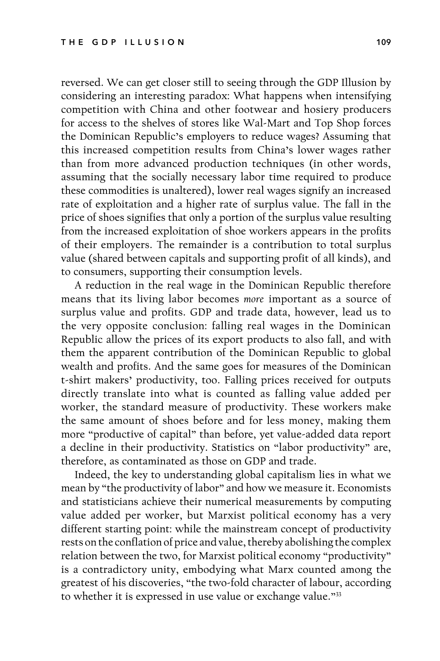reversed. We can get closer still to seeing through the GDP Illusion by considering an interesting paradox: What happens when intensifying competition with China and other footwear and hosiery producers for access to the shelves of stores like Wal-Mart and Top Shop forces the Dominican Republic's employers to reduce wages? Assuming that this increased competition results from China's lower wages rather than from more advanced production techniques (in other words, assuming that the socially necessary labor time required to produce these commodities is unaltered), lower real wages signify an increased rate of exploitation and a higher rate of surplus value. The fall in the price of shoes signifies that only a portion of the surplus value resulting from the increased exploitation of shoe workers appears in the profits of their employers. The remainder is a contribution to total surplus value (shared between capitals and supporting profit of all kinds), and to consumers, supporting their consumption levels.

A reduction in the real wage in the Dominican Republic therefore means that its living labor becomes *more* important as a source of surplus value and profits. GDP and trade data, however, lead us to the very opposite conclusion: falling real wages in the Dominican Republic allow the prices of its export products to also fall, and with them the apparent contribution of the Dominican Republic to global wealth and profits. And the same goes for measures of the Dominican t-shirt makers' productivity, too. Falling prices received for outputs directly translate into what is counted as falling value added per worker, the standard measure of productivity. These workers make the same amount of shoes before and for less money, making them more "productive of capital" than before, yet value-added data report a decline in their productivity. Statistics on "labor productivity" are, therefore, as contaminated as those on GDP and trade.

Indeed, the key to understanding global capitalism lies in what we mean by "the productivity of labor" and how we measure it. Economists and statisticians achieve their numerical measurements by computing value added per worker, but Marxist political economy has a very different starting point: while the mainstream concept of productivity rests on the conflation of price and value, thereby abolishing the complex relation between the two, for Marxist political economy "productivity" is a contradictory unity, embodying what Marx counted among the greatest of his discoveries, "the two-fold character of labour, according to whether it is expressed in use value or exchange value."33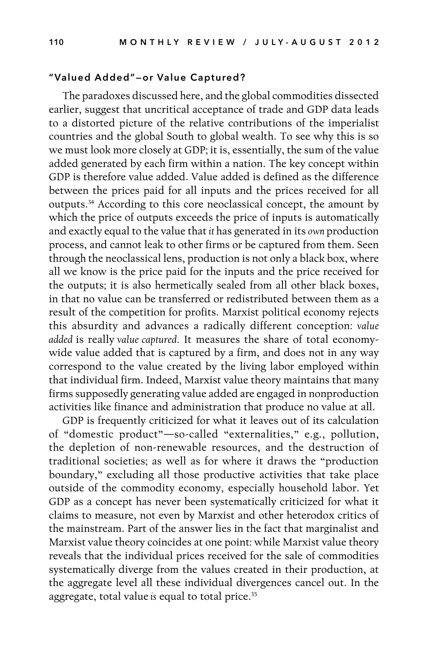# "Valued Added"—or Value Captured?

The paradoxes discussed here, and the global commodities dissected earlier, suggest that uncritical acceptance of trade and GDP data leads to a distorted picture of the relative contributions of the imperialist countries and the global South to global wealth. To see why this is so we must look more closely at GDP; it is, essentially, the sum of the value added generated by each firm within a nation. The key concept within GDP is therefore value added. Value added is defined as the difference between the prices paid for all inputs and the prices received for all outputs.34 According to this core neoclassical concept, the amount by which the price of outputs exceeds the price of inputs is automatically and exactly equal to the value that *it* has generated in its *own* production process, and cannot leak to other firms or be captured from them. Seen through the neoclassical lens, production is not only a black box, where all we know is the price paid for the inputs and the price received for the outputs; it is also hermetically sealed from all other black boxes, in that no value can be transferred or redistributed between them as a result of the competition for profits. Marxist political economy rejects this absurdity and advances a radically different conception: *value added* is really *value captured.* It measures the share of total economywide value added that is captured by a firm, and does not in any way correspond to the value created by the living labor employed within that individual firm. Indeed, Marxist value theory maintains that many firms supposedly generating value added are engaged in nonproduction activities like finance and administration that produce no value at all.

GDP is frequently criticized for what it leaves out of its calculation of "domestic product"—so-called "externalities," e.g., pollution, the depletion of non-renewable resources, and the destruction of traditional societies; as well as for where it draws the "production boundary," excluding all those productive activities that take place outside of the commodity economy, especially household labor. Yet GDP as a concept has never been systematically criticized for what it claims to measure, not even by Marxist and other heterodox critics of the mainstream. Part of the answer lies in the fact that marginalist and Marxist value theory coincides at one point: while Marxist value theory reveals that the individual prices received for the sale of commodities systematically diverge from the values created in their production, at the aggregate level all these individual divergences cancel out. In the aggregate, total value *is* equal to total price.35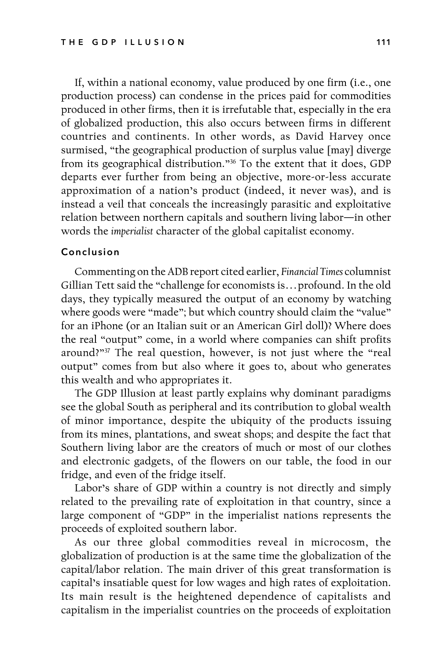If, within a national economy, value produced by one firm (i.e., one production process) can condense in the prices paid for commodities produced in other firms, then it is irrefutable that, especially in the era of globalized production, this also occurs between firms in different countries and continents. In other words, as David Harvey once surmised, "the geographical production of surplus value [may] diverge from its geographical distribution."36 To the extent that it does, GDP departs ever further from being an objective, more-or-less accurate approximation of a nation's product (indeed, it never was), and is instead a veil that conceals the increasingly parasitic and exploitative relation between northern capitals and southern living labor—in other words the *imperialist* character of the global capitalist economy.

#### Conclusion

Commenting on the ADB report cited earlier, *Financial Times* columnist Gillian Tett said the "challenge for economists is…profound. In the old days, they typically measured the output of an economy by watching where goods were "made"; but which country should claim the "value" for an iPhone (or an Italian suit or an American Girl doll)? Where does the real "output" come, in a world where companies can shift profits around?"37 The real question, however, is not just where the "real output" comes from but also where it goes to, about who generates this wealth and who appropriates it.

The GDP Illusion at least partly explains why dominant paradigms see the global South as peripheral and its contribution to global wealth of minor importance, despite the ubiquity of the products issuing from its mines, plantations, and sweat shops; and despite the fact that Southern living labor are the creators of much or most of our clothes and electronic gadgets, of the flowers on our table, the food in our fridge, and even of the fridge itself.

Labor's share of GDP within a country is not directly and simply related to the prevailing rate of exploitation in that country, since a large component of "GDP" in the imperialist nations represents the proceeds of exploited southern labor.

As our three global commodities reveal in microcosm, the globalization of production is at the same time the globalization of the capital/labor relation. The main driver of this great transformation is capital's insatiable quest for low wages and high rates of exploitation. Its main result is the heightened dependence of capitalists and capitalism in the imperialist countries on the proceeds of exploitation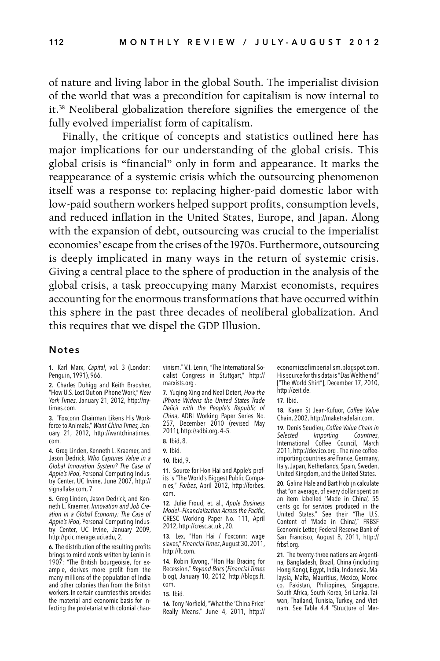of nature and living labor in the global South. The imperialist division of the world that was a precondition for capitalism is now internal to it.38 Neoliberal globalization therefore signifies the emergence of the fully evolved imperialist form of capitalism.

Finally, the critique of concepts and statistics outlined here has major implications for our understanding of the global crisis. This global crisis is "financial" only in form and appearance. It marks the reappearance of a systemic crisis which the outsourcing phenomenon itself was a response to: replacing higher-paid domestic labor with low-paid southern workers helped support profits, consumption levels, and reduced inflation in the United States, Europe, and Japan. Along with the expansion of debt, outsourcing was crucial to the imperialist economies' escape from the crises of the 1970s. Furthermore, outsourcing is deeply implicated in many ways in the return of systemic crisis. Giving a central place to the sphere of production in the analysis of the global crisis, a task preoccupying many Marxist economists, requires accounting for the enormous transformations that have occurred within this sphere in the past three decades of neoliberal globalization. And this requires that we dispel the GDP Illusion.

#### Notes

1. Karl Marx, *Capital*, vol. 3 (London: Penguin, 1991), 966.

2. Charles Duhigg and Keith Bradsher, "How U.S. Lost Out on iPhone Work," *New York Times*, January 21, 2012, http://nytimes.com.

3. "Foxconn Chairman Likens His Workforce to Animals," *Want China Times,* January 21, 2012, http://wantchinatimes. com.

4. Greg Linden, Kenneth L. Kraemer, and Jason Dedrick, *Who Captures Value in a Global Innovation System? The Case of Apple's iPod*, Personal Computing Industry Center, UC Irvine, June 2007, http:// signallake.com, 7.

5. Greg Linden, Jason Dedrick, and Kenneth L. Kraemer, *Innovation and Job Creation in a Global Economy: The Case of Apple's iPod*, Personal Computing Industry Center, UC Irvine, January 2009, http://pcic.merage.uci.edu, 2.

6. The distribution of the resulting profits brings to mind words written by Lenin in 1907: "The British bourgeoisie, for example, derives more profit from the many millions of the population of India and other colonies than from the British workers. In certain countries this provides the material and economic basis for infecting the proletariat with colonial chauvinism." V.I. Lenin, "The International Socialist Congress in Stuttgart," http:// marxists.org .

7. Yuqing Xing and Neal Detert, *How the iPhone Widens the United States Trade Deficit with the People's Republic of China*, ADBI Working Paper Series No. 257, December 2010 (revised May 2011), http://adbi.org, 4–5.

8. Ibid, 8.

10. Ibid, 9.

11. Source for Hon Hai and Apple's profits is "The World's Biggest Public Companies," *Forbes*, April 2012, http://forbes. com.

12. Julie Froud, et. al., *Apple Business Model—Financialization Across the Pacific*, CRESC Working Paper No. 111, April 2012, http://cresc.ac.uk , 20.

13. Lex, "Hon Hai / Foxconn: wage slaves," *Financial Times*, August 30, 2011, http://ft.com.

14. Robin Kwong, "Hon Hai Bracing for Recession," *Beyond Brics* (*Financial Times*  blog), January 10, 2012, http://blogs.ft. com.

16. Tony Norfield, "What the 'China Price' Really Means," June 4, 2011, http:// economicsofimperialism.blogspot.com. His source for this data is "Das Welthemd" ["The World Shirt"], December 17, 2010, http://zeit.de.

17. Ibid.

18. Karen St Jean-Kufuor, *Coffee Value*  Chain, 2002, http://maketradefair.com.

19. Denis Seudieu, *Coffee Value Chain in Importing* International Coffee Council, March 2011, http://dev.ico.org . The nine coffeeimporting countries are France, Germany, Italy, Japan, Netherlands, Spain, Sweden, United Kingdom, and the United States.

20. Galina Hale and Bart Hobijn calculate that "on average, of every dollar spent on an item labelled 'Made in China', 55 cents go for services produced in the United States." See their "The U.S. Content of 'Made in China'," FRBSF Economic Letter, Federal Reserve Bank of San Francisco, August 8, 2011, http:// frbsf.org.

21. The twenty-three nations are Argentina, Bangladesh, Brazil, China (including Hong Kong), Egypt, India, Indonesia, Malaysia, Malta, Mauritius, Mexico, Morocco, Pakistan, Philippines, Singapore, South Africa, South Korea, Sri Lanka, Taiwan, Thailand, Tunisia, Turkey, and Vietnam. See Table 4.4 "Structure of Mer-

<sup>9.</sup> Ibid.

<sup>15.</sup> Ibid.